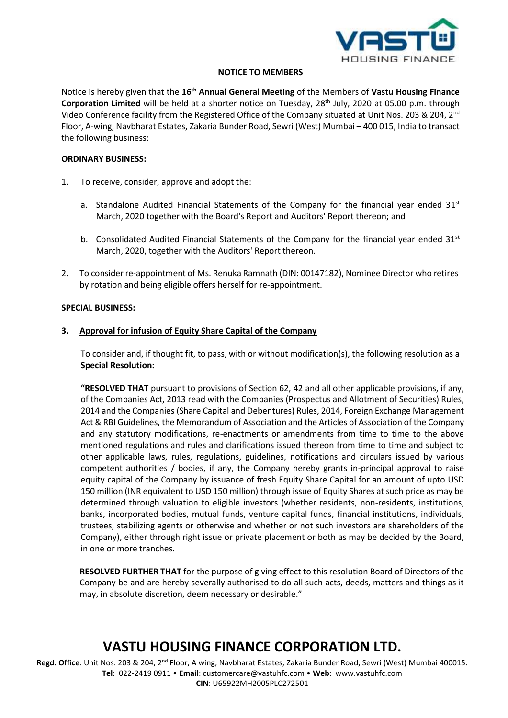

#### **NOTICE TO MEMBERS**

Notice is hereby given that the 16<sup>th</sup> Annual General Meeting of the Members of Vastu Housing Finance **Corporation Limited** will be held at a shorter notice on Tuesday, 28<sup>th</sup> July, 2020 at 05.00 p.m. through Video Conference facility from the Registered Office of the Company situated at Unit Nos. 203 & 204, 2<sup>nd</sup> Floor, A-wing, Navbharat Estates, Zakaria Bunder Road, Sewri (West) Mumbai – 400 015, India to transact the following business:

#### **ORDINARY BUSINESS:**

- 1. To receive, consider, approve and adopt the:
	- a. Standalone Audited Financial Statements of the Company for the financial year ended  $31<sup>st</sup>$ March, 2020 together with the Board's Report and Auditors' Report thereon; and
	- b. Consolidated Audited Financial Statements of the Company for the financial year ended  $31<sup>st</sup>$ March, 2020, together with the Auditors' Report thereon.
- 2. To consider re-appointment of Ms. Renuka Ramnath (DIN: 00147182), Nominee Director who retires by rotation and being eligible offers herself for re-appointment.

#### **SPECIAL BUSINESS:**

#### **3. Approval for infusion of Equity Share Capital of the Company**

To consider and, if thought fit, to pass, with or without modification(s), the following resolution as a **Special Resolution:**

**"RESOLVED THAT** pursuant to provisions of Section 62, 42 and all other applicable provisions, if any, of the Companies Act, 2013 read with the Companies (Prospectus and Allotment of Securities) Rules, 2014 and the Companies (Share Capital and Debentures) Rules, 2014, Foreign Exchange Management Act & RBI Guidelines, the Memorandum of Association and the Articles of Association of the Company and any statutory modifications, re-enactments or amendments from time to time to the above mentioned regulations and rules and clarifications issued thereon from time to time and subject to other applicable laws, rules, regulations, guidelines, notifications and circulars issued by various competent authorities / bodies, if any, the Company hereby grants in-principal approval to raise equity capital of the Company by issuance of fresh Equity Share Capital for an amount of upto USD 150 million (INR equivalent to USD 150 million) through issue of Equity Shares at such price as may be determined through valuation to eligible investors (whether residents, non-residents, institutions, banks, incorporated bodies, mutual funds, venture capital funds, financial institutions, individuals, trustees, stabilizing agents or otherwise and whether or not such investors are shareholders of the Company), either through right issue or private placement or both as may be decided by the Board, in one or more tranches.

**RESOLVED FURTHER THAT** for the purpose of giving effect to this resolution Board of Directors of the Company be and are hereby severally authorised to do all such acts, deeds, matters and things as it may, in absolute discretion, deem necessary or desirable."

## **VASTU HOUSING FINANCE CORPORATION LTD.**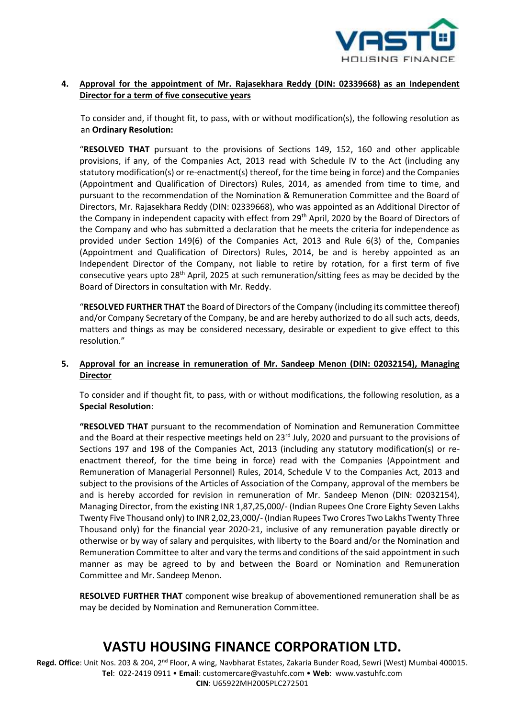

## **4. Approval for the appointment of Mr. Rajasekhara Reddy (DIN: 02339668) as an Independent Director for a term of five consecutive years**

To consider and, if thought fit, to pass, with or without modification(s), the following resolution as an **Ordinary Resolution:**

"**RESOLVED THAT** pursuant to the provisions of Sections 149, 152, 160 and other applicable provisions, if any, of the Companies Act, 2013 read with Schedule IV to the Act (including any statutory modification(s) or re-enactment(s) thereof, for the time being in force) and the Companies (Appointment and Qualification of Directors) Rules, 2014, as amended from time to time, and pursuant to the recommendation of the Nomination & Remuneration Committee and the Board of Directors, Mr. Rajasekhara Reddy (DIN: 02339668), who was appointed as an Additional Director of the Company in independent capacity with effect from 29<sup>th</sup> April, 2020 by the Board of Directors of the Company and who has submitted a declaration that he meets the criteria for independence as provided under Section 149(6) of the Companies Act, 2013 and Rule 6(3) of the, Companies (Appointment and Qualification of Directors) Rules, 2014, be and is hereby appointed as an Independent Director of the Company, not liable to retire by rotation, for a first term of five consecutive years upto 28<sup>th</sup> April, 2025 at such remuneration/sitting fees as may be decided by the Board of Directors in consultation with Mr. Reddy.

"**RESOLVED FURTHER THAT** the Board of Directors of the Company (including its committee thereof) and/or Company Secretary of the Company, be and are hereby authorized to do all such acts, deeds, matters and things as may be considered necessary, desirable or expedient to give effect to this resolution."

### **5. Approval for an increase in remuneration of Mr. Sandeep Menon (DIN: 02032154), Managing Director**

To consider and if thought fit, to pass, with or without modifications, the following resolution, as a **Special Resolution**:

**"RESOLVED THAT** pursuant to the recommendation of Nomination and Remuneration Committee and the Board at their respective meetings held on 23<sup>rd</sup> July, 2020 and pursuant to the provisions of Sections 197 and 198 of the Companies Act, 2013 (including any statutory modification(s) or reenactment thereof, for the time being in force) read with the Companies (Appointment and Remuneration of Managerial Personnel) Rules, 2014, Schedule V to the Companies Act, 2013 and subject to the provisions of the Articles of Association of the Company, approval of the members be and is hereby accorded for revision in remuneration of Mr. Sandeep Menon (DIN: 02032154), Managing Director, from the existing INR 1,87,25,000/- (Indian Rupees One Crore Eighty Seven Lakhs Twenty Five Thousand only) to INR 2,02,23,000/- (Indian Rupees Two Crores Two Lakhs Twenty Three Thousand only) for the financial year 2020-21, inclusive of any remuneration payable directly or otherwise or by way of salary and perquisites, with liberty to the Board and/or the Nomination and Remuneration Committee to alter and vary the terms and conditions of the said appointment in such manner as may be agreed to by and between the Board or Nomination and Remuneration Committee and Mr. Sandeep Menon.

**RESOLVED FURTHER THAT** component wise breakup of abovementioned remuneration shall be as may be decided by Nomination and Remuneration Committee.

## **VASTU HOUSING FINANCE CORPORATION LTD.**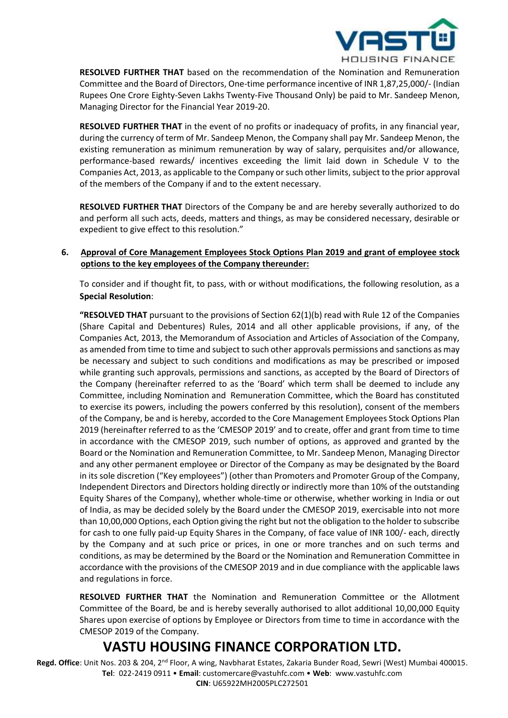

**RESOLVED FURTHER THAT** based on the recommendation of the Nomination and Remuneration Committee and the Board of Directors, One-time performance incentive of INR 1,87,25,000/- (Indian Rupees One Crore Eighty-Seven Lakhs Twenty-Five Thousand Only) be paid to Mr. Sandeep Menon, Managing Director for the Financial Year 2019-20.

**RESOLVED FURTHER THAT** in the event of no profits or inadequacy of profits, in any financial year, during the currency of term of Mr. Sandeep Menon, the Company shall pay Mr. Sandeep Menon, the existing remuneration as minimum remuneration by way of salary, perquisites and/or allowance, performance-based rewards/ incentives exceeding the limit laid down in Schedule V to the Companies Act, 2013, as applicable to the Company or such other limits, subject to the prior approval of the members of the Company if and to the extent necessary.

**RESOLVED FURTHER THAT** Directors of the Company be and are hereby severally authorized to do and perform all such acts, deeds, matters and things, as may be considered necessary, desirable or expedient to give effect to this resolution."

## **6. Approval of Core Management Employees Stock Options Plan 2019 and grant of employee stock options to the key employees of the Company thereunder:**

To consider and if thought fit, to pass, with or without modifications, the following resolution, as a **Special Resolution**:

**"RESOLVED THAT** pursuant to the provisions of Section 62(1)(b) read with Rule 12 of the Companies (Share Capital and Debentures) Rules, 2014 and all other applicable provisions, if any, of the Companies Act, 2013, the Memorandum of Association and Articles of Association of the Company, as amended from time to time and subject to such other approvals permissions and sanctions as may be necessary and subject to such conditions and modifications as may be prescribed or imposed while granting such approvals, permissions and sanctions, as accepted by the Board of Directors of the Company (hereinafter referred to as the 'Board' which term shall be deemed to include any Committee, including Nomination and Remuneration Committee, which the Board has constituted to exercise its powers, including the powers conferred by this resolution), consent of the members of the Company, be and is hereby, accorded to the Core Management Employees Stock Options Plan 2019 (hereinafter referred to as the 'CMESOP 2019' and to create, offer and grant from time to time in accordance with the CMESOP 2019, such number of options, as approved and granted by the Board or the Nomination and Remuneration Committee, to Mr. Sandeep Menon, Managing Director and any other permanent employee or Director of the Company as may be designated by the Board in its sole discretion ("Key employees") (other than Promoters and Promoter Group of the Company, Independent Directors and Directors holding directly or indirectly more than 10% of the outstanding Equity Shares of the Company), whether whole-time or otherwise, whether working in India or out of India, as may be decided solely by the Board under the CMESOP 2019, exercisable into not more than 10,00,000 Options, each Option giving the right but not the obligation to the holder to subscribe for cash to one fully paid-up Equity Shares in the Company, of face value of INR 100/- each, directly by the Company and at such price or prices, in one or more tranches and on such terms and conditions, as may be determined by the Board or the Nomination and Remuneration Committee in accordance with the provisions of the CMESOP 2019 and in due compliance with the applicable laws and regulations in force.

**RESOLVED FURTHER THAT** the Nomination and Remuneration Committee or the Allotment Committee of the Board, be and is hereby severally authorised to allot additional 10,00,000 Equity Shares upon exercise of options by Employee or Directors from time to time in accordance with the CMESOP 2019 of the Company.

## **VASTU HOUSING FINANCE CORPORATION LTD.**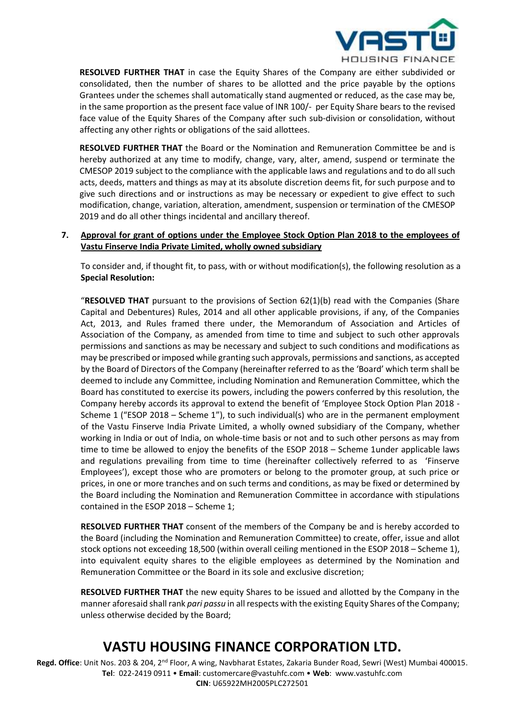

**RESOLVED FURTHER THAT** in case the Equity Shares of the Company are either subdivided or consolidated, then the number of shares to be allotted and the price payable by the options Grantees under the schemes shall automatically stand augmented or reduced, as the case may be, in the same proportion as the present face value of INR 100/- per Equity Share bears to the revised face value of the Equity Shares of the Company after such sub-division or consolidation, without affecting any other rights or obligations of the said allottees.

**RESOLVED FURTHER THAT** the Board or the Nomination and Remuneration Committee be and is hereby authorized at any time to modify, change, vary, alter, amend, suspend or terminate the CMESOP 2019 subject to the compliance with the applicable laws and regulations and to do all such acts, deeds, matters and things as may at its absolute discretion deems fit, for such purpose and to give such directions and or instructions as may be necessary or expedient to give effect to such modification, change, variation, alteration, amendment, suspension or termination of the CMESOP 2019 and do all other things incidental and ancillary thereof.

### **7. Approval for grant of options under the Employee Stock Option Plan 2018 to the employees of Vastu Finserve India Private Limited, wholly owned subsidiary**

To consider and, if thought fit, to pass, with or without modification(s), the following resolution as a **Special Resolution:**

"**RESOLVED THAT** pursuant to the provisions of Section 62(1)(b) read with the Companies (Share Capital and Debentures) Rules, 2014 and all other applicable provisions, if any, of the Companies Act, 2013, and Rules framed there under, the Memorandum of Association and Articles of Association of the Company, as amended from time to time and subject to such other approvals permissions and sanctions as may be necessary and subject to such conditions and modifications as may be prescribed or imposed while granting such approvals, permissions and sanctions, as accepted by the Board of Directors of the Company (hereinafter referred to as the 'Board' which term shall be deemed to include any Committee, including Nomination and Remuneration Committee, which the Board has constituted to exercise its powers, including the powers conferred by this resolution, the Company hereby accords its approval to extend the benefit of 'Employee Stock Option Plan 2018 - Scheme 1 ("ESOP 2018 – Scheme 1"), to such individual(s) who are in the permanent employment of the Vastu Finserve India Private Limited, a wholly owned subsidiary of the Company, whether working in India or out of India, on whole-time basis or not and to such other persons as may from time to time be allowed to enjoy the benefits of the ESOP 2018 – Scheme 1under applicable laws and regulations prevailing from time to time (hereinafter collectively referred to as 'Finserve Employees'), except those who are promoters or belong to the promoter group, at such price or prices, in one or more tranches and on such terms and conditions, as may be fixed or determined by the Board including the Nomination and Remuneration Committee in accordance with stipulations contained in the ESOP 2018 – Scheme 1;

**RESOLVED FURTHER THAT** consent of the members of the Company be and is hereby accorded to the Board (including the Nomination and Remuneration Committee) to create, offer, issue and allot stock options not exceeding 18,500 (within overall ceiling mentioned in the ESOP 2018 – Scheme 1), into equivalent equity shares to the eligible employees as determined by the Nomination and Remuneration Committee or the Board in its sole and exclusive discretion;

**RESOLVED FURTHER THAT** the new equity Shares to be issued and allotted by the Company in the manner aforesaid shall rank *pari passu* in all respects with the existing Equity Shares of the Company; unless otherwise decided by the Board;

## **VASTU HOUSING FINANCE CORPORATION LTD.**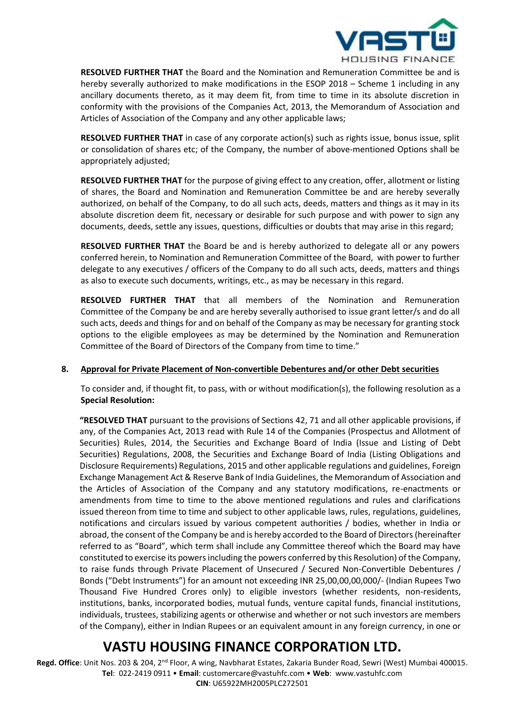

**RESOLVED FURTHER THAT** the Board and the Nomination and Remuneration Committee be and is hereby severally authorized to make modifications in the ESOP 2018 – Scheme 1 including in any ancillary documents thereto, as it may deem fit, from time to time in its absolute discretion in conformity with the provisions of the Companies Act, 2013, the Memorandum of Association and Articles of Association of the Company and any other applicable laws;

**RESOLVED FURTHER THAT** in case of any corporate action(s) such as rights issue, bonus issue, split or consolidation of shares etc; of the Company, the number of above-mentioned Options shall be appropriately adjusted;

**RESOLVED FURTHER THAT** for the purpose of giving effect to any creation, offer, allotment or listing of shares, the Board and Nomination and Remuneration Committee be and are hereby severally authorized, on behalf of the Company, to do all such acts, deeds, matters and things as it may in its absolute discretion deem fit, necessary or desirable for such purpose and with power to sign any documents, deeds, settle any issues, questions, difficulties or doubts that may arise in this regard;

**RESOLVED FURTHER THAT** the Board be and is hereby authorized to delegate all or any powers conferred herein, to Nomination and Remuneration Committee of the Board, with power to further delegate to any executives / officers of the Company to do all such acts, deeds, matters and things as also to execute such documents, writings, etc., as may be necessary in this regard.

**RESOLVED FURTHER THAT** that all members of the Nomination and Remuneration Committee of the Company be and are hereby severally authorised to issue grant letter/s and do all such acts, deeds and things for and on behalf of the Company as may be necessary for granting stock options to the eligible employees as may be determined by the Nomination and Remuneration Committee of the Board of Directors of the Company from time to time."

#### **8. Approval for Private Placement of Non-convertible Debentures and/or other Debt securities**

To consider and, if thought fit, to pass, with or without modification(s), the following resolution as a **Special Resolution:**

**"RESOLVED THAT** pursuant to the provisions of Sections 42, 71 and all other applicable provisions, if any, of the Companies Act, 2013 read with Rule 14 of the Companies (Prospectus and Allotment of Securities) Rules, 2014, the Securities and Exchange Board of India (Issue and Listing of Debt Securities) Regulations, 2008, the Securities and Exchange Board of India (Listing Obligations and Disclosure Requirements) Regulations, 2015 and other applicable regulations and guidelines, Foreign Exchange Management Act & Reserve Bank of India Guidelines, the Memorandum of Association and the Articles of Association of the Company and any statutory modifications, re-enactments or amendments from time to time to the above mentioned regulations and rules and clarifications issued thereon from time to time and subject to other applicable laws, rules, regulations, guidelines, notifications and circulars issued by various competent authorities / bodies, whether in India or abroad, the consent of the Company be and is hereby accorded to the Board of Directors (hereinafter referred to as "Board", which term shall include any Committee thereof which the Board may have constituted to exercise its powers including the powers conferred by this Resolution) of the Company, to raise funds through Private Placement of Unsecured / Secured Non-Convertible Debentures / Bonds ("Debt Instruments") for an amount not exceeding INR 25,00,00,00,000/- (Indian Rupees Two Thousand Five Hundred Crores only) to eligible investors (whether residents, non-residents, institutions, banks, incorporated bodies, mutual funds, venture capital funds, financial institutions, individuals, trustees, stabilizing agents or otherwise and whether or not such investors are members of the Company), either in Indian Rupees or an equivalent amount in any foreign currency, in one or

# **VASTU HOUSING FINANCE CORPORATION LTD.**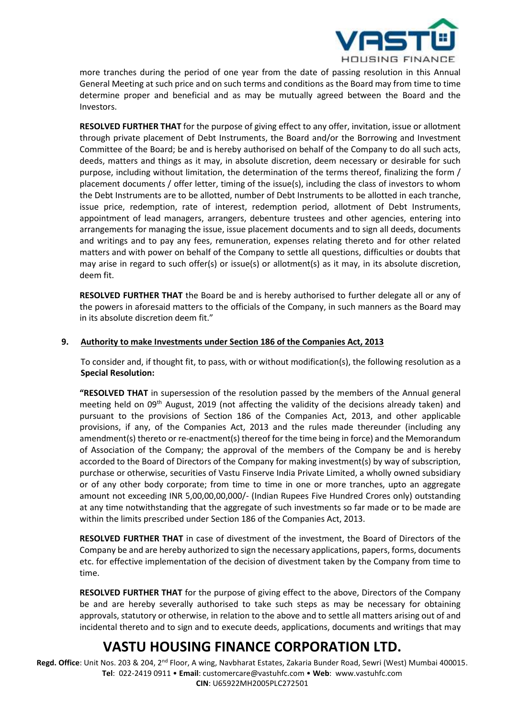

more tranches during the period of one year from the date of passing resolution in this Annual General Meeting at such price and on such terms and conditions as the Board may from time to time determine proper and beneficial and as may be mutually agreed between the Board and the Investors.

**RESOLVED FURTHER THAT** for the purpose of giving effect to any offer, invitation, issue or allotment through private placement of Debt Instruments, the Board and/or the Borrowing and Investment Committee of the Board; be and is hereby authorised on behalf of the Company to do all such acts, deeds, matters and things as it may, in absolute discretion, deem necessary or desirable for such purpose, including without limitation, the determination of the terms thereof, finalizing the form / placement documents / offer letter, timing of the issue(s), including the class of investors to whom the Debt Instruments are to be allotted, number of Debt Instruments to be allotted in each tranche, issue price, redemption, rate of interest, redemption period, allotment of Debt Instruments, appointment of lead managers, arrangers, debenture trustees and other agencies, entering into arrangements for managing the issue, issue placement documents and to sign all deeds, documents and writings and to pay any fees, remuneration, expenses relating thereto and for other related matters and with power on behalf of the Company to settle all questions, difficulties or doubts that may arise in regard to such offer(s) or issue(s) or allotment(s) as it may, in its absolute discretion, deem fit.

**RESOLVED FURTHER THAT** the Board be and is hereby authorised to further delegate all or any of the powers in aforesaid matters to the officials of the Company, in such manners as the Board may in its absolute discretion deem fit."

### **9. Authority to make Investments under Section 186 of the Companies Act, 2013**

To consider and, if thought fit, to pass, with or without modification(s), the following resolution as a **Special Resolution:**

**"RESOLVED THAT** in supersession of the resolution passed by the members of the Annual general meeting held on  $0.9<sup>th</sup>$  August, 2019 (not affecting the validity of the decisions already taken) and pursuant to the provisions of Section 186 of the Companies Act, 2013, and other applicable provisions, if any, of the Companies Act, 2013 and the rules made thereunder (including any amendment(s) thereto or re-enactment(s) thereof for the time being in force) and the Memorandum of Association of the Company; the approval of the members of the Company be and is hereby accorded to the Board of Directors of the Company for making investment(s) by way of subscription, purchase or otherwise, securities of Vastu Finserve India Private Limited, a wholly owned subsidiary or of any other body corporate; from time to time in one or more tranches, upto an aggregate amount not exceeding INR 5,00,00,00,000/- (Indian Rupees Five Hundred Crores only) outstanding at any time notwithstanding that the aggregate of such investments so far made or to be made are within the limits prescribed under Section 186 of the Companies Act, 2013.

**RESOLVED FURTHER THAT** in case of divestment of the investment, the Board of Directors of the Company be and are hereby authorized to sign the necessary applications, papers, forms, documents etc. for effective implementation of the decision of divestment taken by the Company from time to time.

**RESOLVED FURTHER THAT** for the purpose of giving effect to the above, Directors of the Company be and are hereby severally authorised to take such steps as may be necessary for obtaining approvals, statutory or otherwise, in relation to the above and to settle all matters arising out of and incidental thereto and to sign and to execute deeds, applications, documents and writings that may

# **VASTU HOUSING FINANCE CORPORATION LTD.**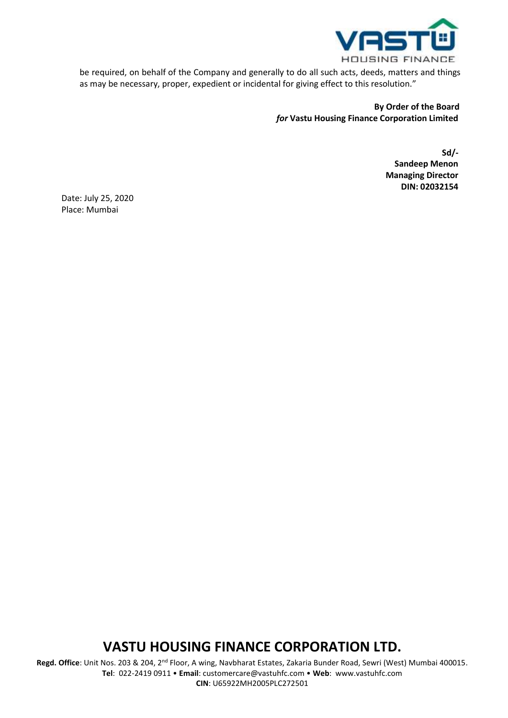

be required, on behalf of the Company and generally to do all such acts, deeds, matters and things as may be necessary, proper, expedient or incidental for giving effect to this resolution."

## **By Order of the Board**  *for* **Vastu Housing Finance Corporation Limited**

**Sd/- Sandeep Menon Managing Director DIN: 02032154**

Date: July 25, 2020 Place: Mumbai

## **VASTU HOUSING FINANCE CORPORATION LTD.**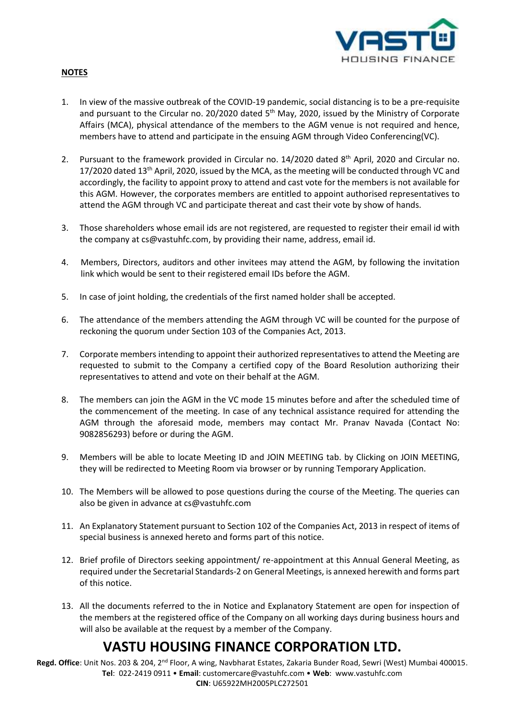

### **NOTES**

- 1. In view of the massive outbreak of the COVID-19 pandemic, social distancing is to be a pre-requisite and pursuant to the Circular no. 20/2020 dated 5<sup>th</sup> May, 2020, issued by the Ministry of Corporate Affairs (MCA), physical attendance of the members to the AGM venue is not required and hence, members have to attend and participate in the ensuing AGM through Video Conferencing(VC).
- 2. Pursuant to the framework provided in Circular no. 14/2020 dated 8<sup>th</sup> April, 2020 and Circular no. 17/2020 dated  $13<sup>th</sup>$  April, 2020, issued by the MCA, as the meeting will be conducted through VC and accordingly, the facility to appoint proxy to attend and cast vote for the members is not available for this AGM. However, the corporates members are entitled to appoint authorised representatives to attend the AGM through VC and participate thereat and cast their vote by show of hands.
- 3. Those shareholders whose email ids are not registered, are requested to register their email id with the company at cs@vastuhfc.com, by providing their name, address, email id.
- 4. Members, Directors, auditors and other invitees may attend the AGM, by following the invitation link which would be sent to their registered email IDs before the AGM.
- 5. In case of joint holding, the credentials of the first named holder shall be accepted.
- 6. The attendance of the members attending the AGM through VC will be counted for the purpose of reckoning the quorum under Section 103 of the Companies Act, 2013.
- 7. Corporate members intending to appoint their authorized representatives to attend the Meeting are requested to submit to the Company a certified copy of the Board Resolution authorizing their representatives to attend and vote on their behalf at the AGM.
- 8. The members can join the AGM in the VC mode 15 minutes before and after the scheduled time of the commencement of the meeting. In case of any technical assistance required for attending the AGM through the aforesaid mode, members may contact Mr. Pranav Navada (Contact No: 9082856293) before or during the AGM.
- 9. Members will be able to locate Meeting ID and JOIN MEETING tab. by Clicking on JOIN MEETING, they will be redirected to Meeting Room via browser or by running Temporary Application.
- 10. The Members will be allowed to pose questions during the course of the Meeting. The queries can also be given in advance at cs@vastuhfc.com
- 11. An Explanatory Statement pursuant to Section 102 of the Companies Act, 2013 in respect of items of special business is annexed hereto and forms part of this notice.
- 12. Brief profile of Directors seeking appointment/ re-appointment at this Annual General Meeting, as required under the Secretarial Standards-2 on General Meetings, is annexed herewith and forms part of this notice.
- 13. All the documents referred to the in Notice and Explanatory Statement are open for inspection of the members at the registered office of the Company on all working days during business hours and will also be available at the request by a member of the Company.

# **VASTU HOUSING FINANCE CORPORATION LTD.**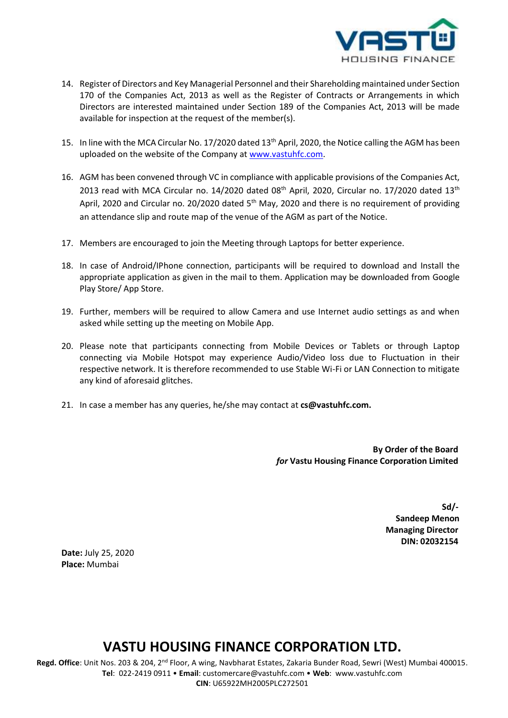

- 14. Register of Directors and Key Managerial Personnel and their Shareholding maintained under Section 170 of the Companies Act, 2013 as well as the Register of Contracts or Arrangements in which Directors are interested maintained under Section 189 of the Companies Act, 2013 will be made available for inspection at the request of the member(s).
- 15. In line with the MCA Circular No. 17/2020 dated 13th April, 2020, the Notice calling the AGM has been uploaded on the website of the Company at [www.vastuhfc.com.](http://www.vastuhfc.com/)
- 16. AGM has been convened through VC in compliance with applicable provisions of the Companies Act, 2013 read with MCA Circular no. 14/2020 dated 08<sup>th</sup> April, 2020, Circular no. 17/2020 dated 13<sup>th</sup> April, 2020 and Circular no. 20/2020 dated 5<sup>th</sup> May, 2020 and there is no requirement of providing an attendance slip and route map of the venue of the AGM as part of the Notice.
- 17. Members are encouraged to join the Meeting through Laptops for better experience.
- 18. In case of Android/IPhone connection, participants will be required to download and Install the appropriate application as given in the mail to them. Application may be downloaded from Google Play Store/ App Store.
- 19. Further, members will be required to allow Camera and use Internet audio settings as and when asked while setting up the meeting on Mobile App.
- 20. Please note that participants connecting from Mobile Devices or Tablets or through Laptop connecting via Mobile Hotspot may experience Audio/Video loss due to Fluctuation in their respective network. It is therefore recommended to use Stable Wi-Fi or LAN Connection to mitigate any kind of aforesaid glitches.
- 21. In case a member has any queries, he/she may contact at **cs@vastuhfc.com.**

**By Order of the Board**  *for* **Vastu Housing Finance Corporation Limited**

| $Sd$ /-                  |  |  |  |
|--------------------------|--|--|--|
| <b>Sandeep Menon</b>     |  |  |  |
| <b>Managing Director</b> |  |  |  |
| DIN: 02032154            |  |  |  |

**Date:** July 25, 2020 **Place:** Mumbai

## **VASTU HOUSING FINANCE CORPORATION LTD.**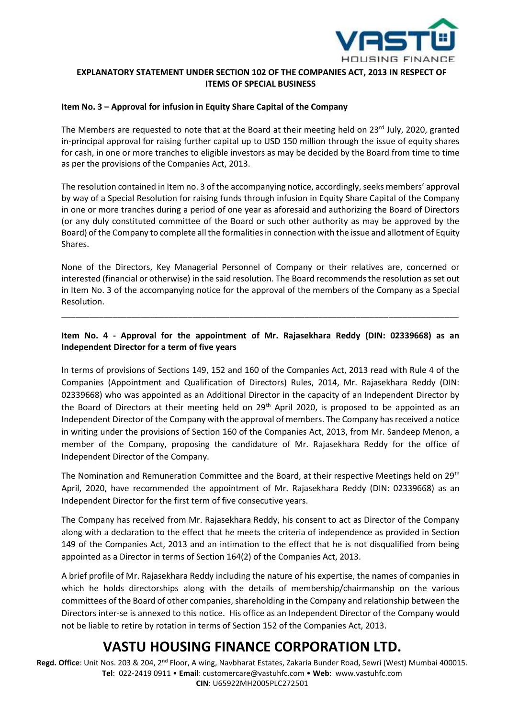

## **EXPLANATORY STATEMENT UNDER SECTION 102 OF THE COMPANIES ACT, 2013 IN RESPECT OF ITEMS OF SPECIAL BUSINESS**

#### **Item No. 3 – Approval for infusion in Equity Share Capital of the Company**

The Members are requested to note that at the Board at their meeting held on  $23^{\text{rd}}$  July, 2020, granted in-principal approval for raising further capital up to USD 150 million through the issue of equity shares for cash, in one or more tranches to eligible investors as may be decided by the Board from time to time as per the provisions of the Companies Act, 2013.

The resolution contained in Item no. 3 of the accompanying notice, accordingly, seeks members' approval by way of a Special Resolution for raising funds through infusion in Equity Share Capital of the Company in one or more tranches during a period of one year as aforesaid and authorizing the Board of Directors (or any duly constituted committee of the Board or such other authority as may be approved by the Board) of the Company to complete all the formalities in connection with the issue and allotment of Equity Shares.

None of the Directors, Key Managerial Personnel of Company or their relatives are, concerned or interested (financial or otherwise) in the said resolution. The Board recommends the resolution as set out in Item No. 3 of the accompanying notice for the approval of the members of the Company as a Special Resolution.

## **Item No. 4 - Approval for the appointment of Mr. Rajasekhara Reddy (DIN: 02339668) as an Independent Director for a term of five years**

\_\_\_\_\_\_\_\_\_\_\_\_\_\_\_\_\_\_\_\_\_\_\_\_\_\_\_\_\_\_\_\_\_\_\_\_\_\_\_\_\_\_\_\_\_\_\_\_\_\_\_\_\_\_\_\_\_\_\_\_\_\_\_\_\_\_\_\_\_\_\_\_\_\_\_\_\_\_\_\_\_\_\_\_\_

In terms of provisions of Sections 149, 152 and 160 of the Companies Act, 2013 read with Rule 4 of the Companies (Appointment and Qualification of Directors) Rules, 2014, Mr. Rajasekhara Reddy (DIN: 02339668) who was appointed as an Additional Director in the capacity of an Independent Director by the Board of Directors at their meeting held on  $29<sup>th</sup>$  April 2020, is proposed to be appointed as an Independent Director of the Company with the approval of members. The Company has received a notice in writing under the provisions of Section 160 of the Companies Act, 2013, from Mr. Sandeep Menon, a member of the Company, proposing the candidature of Mr. Rajasekhara Reddy for the office of Independent Director of the Company.

The Nomination and Remuneration Committee and the Board, at their respective Meetings held on 29<sup>th</sup> April, 2020, have recommended the appointment of Mr. Rajasekhara Reddy (DIN: 02339668) as an Independent Director for the first term of five consecutive years.

The Company has received from Mr. Rajasekhara Reddy, his consent to act as Director of the Company along with a declaration to the effect that he meets the criteria of independence as provided in Section 149 of the Companies Act, 2013 and an intimation to the effect that he is not disqualified from being appointed as a Director in terms of Section 164(2) of the Companies Act, 2013.

A brief profile of Mr. Rajasekhara Reddy including the nature of his expertise, the names of companies in which he holds directorships along with the details of membership/chairmanship on the various committees of the Board of other companies, shareholding in the Company and relationship between the Directors inter-se is annexed to this notice. His office as an Independent Director of the Company would not be liable to retire by rotation in terms of Section 152 of the Companies Act, 2013.

## **VASTU HOUSING FINANCE CORPORATION LTD.**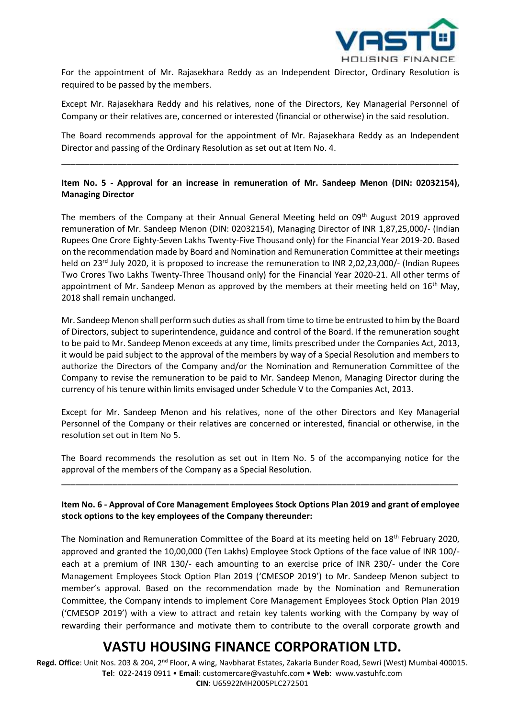

For the appointment of Mr. Rajasekhara Reddy as an Independent Director, Ordinary Resolution is required to be passed by the members.

Except Mr. Rajasekhara Reddy and his relatives, none of the Directors, Key Managerial Personnel of Company or their relatives are, concerned or interested (financial or otherwise) in the said resolution.

The Board recommends approval for the appointment of Mr. Rajasekhara Reddy as an Independent Director and passing of the Ordinary Resolution as set out at Item No. 4.

\_\_\_\_\_\_\_\_\_\_\_\_\_\_\_\_\_\_\_\_\_\_\_\_\_\_\_\_\_\_\_\_\_\_\_\_\_\_\_\_\_\_\_\_\_\_\_\_\_\_\_\_\_\_\_\_\_\_\_\_\_\_\_\_\_\_\_\_\_\_\_\_\_\_\_\_\_\_\_\_\_\_\_\_\_

## **Item No. 5 - Approval for an increase in remuneration of Mr. Sandeep Menon (DIN: 02032154), Managing Director**

The members of the Company at their Annual General Meeting held on 09<sup>th</sup> August 2019 approved remuneration of Mr. Sandeep Menon (DIN: 02032154), Managing Director of INR 1,87,25,000/- (Indian Rupees One Crore Eighty-Seven Lakhs Twenty-Five Thousand only) for the Financial Year 2019-20. Based on the recommendation made by Board and Nomination and Remuneration Committee at their meetings held on 23<sup>rd</sup> July 2020, it is proposed to increase the remuneration to INR 2,02,23,000/- (Indian Rupees Two Crores Two Lakhs Twenty-Three Thousand only) for the Financial Year 2020-21. All other terms of appointment of Mr. Sandeep Menon as approved by the members at their meeting held on  $16<sup>th</sup>$  May, 2018 shall remain unchanged.

Mr. Sandeep Menon shall perform such duties as shall from time to time be entrusted to him by the Board of Directors, subject to superintendence, guidance and control of the Board. If the remuneration sought to be paid to Mr. Sandeep Menon exceeds at any time, limits prescribed under the Companies Act, 2013, it would be paid subject to the approval of the members by way of a Special Resolution and members to authorize the Directors of the Company and/or the Nomination and Remuneration Committee of the Company to revise the remuneration to be paid to Mr. Sandeep Menon, Managing Director during the currency of his tenure within limits envisaged under Schedule V to the Companies Act, 2013.

Except for Mr. Sandeep Menon and his relatives, none of the other Directors and Key Managerial Personnel of the Company or their relatives are concerned or interested, financial or otherwise, in the resolution set out in Item No 5.

The Board recommends the resolution as set out in Item No. 5 of the accompanying notice for the approval of the members of the Company as a Special Resolution.

\_\_\_\_\_\_\_\_\_\_\_\_\_\_\_\_\_\_\_\_\_\_\_\_\_\_\_\_\_\_\_\_\_\_\_\_\_\_\_\_\_\_\_\_\_\_\_\_\_\_\_\_\_\_\_\_\_\_\_\_\_\_\_\_\_\_\_\_\_\_\_\_\_\_\_\_\_\_\_\_\_\_\_\_\_

### **Item No. 6 - Approval of Core Management Employees Stock Options Plan 2019 and grant of employee stock options to the key employees of the Company thereunder:**

The Nomination and Remuneration Committee of the Board at its meeting held on 18<sup>th</sup> February 2020, approved and granted the 10,00,000 (Ten Lakhs) Employee Stock Options of the face value of INR 100/ each at a premium of INR 130/- each amounting to an exercise price of INR 230/- under the Core Management Employees Stock Option Plan 2019 ('CMESOP 2019') to Mr. Sandeep Menon subject to member's approval. Based on the recommendation made by the Nomination and Remuneration Committee, the Company intends to implement Core Management Employees Stock Option Plan 2019 ('CMESOP 2019') with a view to attract and retain key talents working with the Company by way of rewarding their performance and motivate them to contribute to the overall corporate growth and

## **VASTU HOUSING FINANCE CORPORATION LTD.**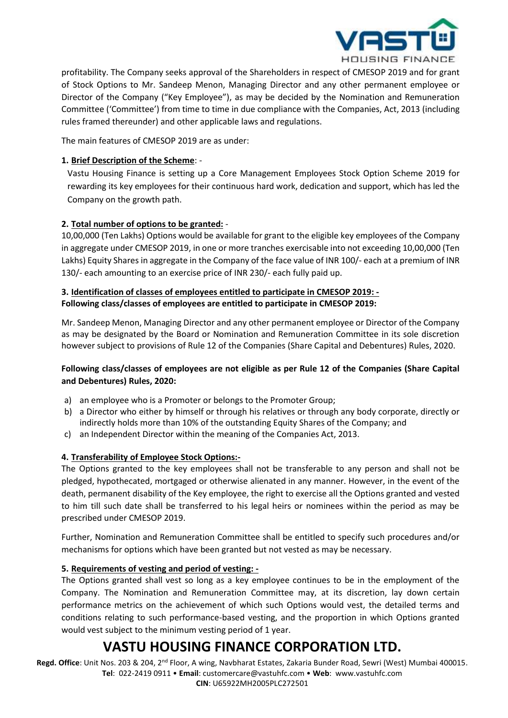

profitability. The Company seeks approval of the Shareholders in respect of CMESOP 2019 and for grant of Stock Options to Mr. Sandeep Menon, Managing Director and any other permanent employee or Director of the Company ("Key Employee"), as may be decided by the Nomination and Remuneration Committee ('Committee') from time to time in due compliance with the Companies, Act, 2013 (including rules framed thereunder) and other applicable laws and regulations.

The main features of CMESOP 2019 are as under:

## **1. Brief Description of the Scheme**: -

Vastu Housing Finance is setting up a Core Management Employees Stock Option Scheme 2019 for rewarding its key employees for their continuous hard work, dedication and support, which has led the Company on the growth path.

## **2. Total number of options to be granted:** -

10,00,000 (Ten Lakhs) Options would be available for grant to the eligible key employees of the Company in aggregate under CMESOP 2019, in one or more tranches exercisable into not exceeding 10,00,000 (Ten Lakhs) Equity Shares in aggregate in the Company of the face value of INR 100/- each at a premium of INR 130/- each amounting to an exercise price of INR 230/- each fully paid up.

## **3. Identification of classes of employees entitled to participate in CMESOP 2019: - Following class/classes of employees are entitled to participate in CMESOP 2019:**

Mr. Sandeep Menon, Managing Director and any other permanent employee or Director of the Company as may be designated by the Board or Nomination and Remuneration Committee in its sole discretion however subject to provisions of Rule 12 of the Companies (Share Capital and Debentures) Rules, 2020.

## **Following class/classes of employees are not eligible as per Rule 12 of the Companies (Share Capital and Debentures) Rules, 2020:**

- a) an employee who is a Promoter or belongs to the Promoter Group;
- b) a Director who either by himself or through his relatives or through any body corporate, directly or indirectly holds more than 10% of the outstanding Equity Shares of the Company; and
- c) an Independent Director within the meaning of the Companies Act, 2013.

## **4. Transferability of Employee Stock Options:-**

The Options granted to the key employees shall not be transferable to any person and shall not be pledged, hypothecated, mortgaged or otherwise alienated in any manner. However, in the event of the death, permanent disability of the Key employee, the right to exercise all the Options granted and vested to him till such date shall be transferred to his legal heirs or nominees within the period as may be prescribed under CMESOP 2019.

Further, Nomination and Remuneration Committee shall be entitled to specify such procedures and/or mechanisms for options which have been granted but not vested as may be necessary.

## **5. Requirements of vesting and period of vesting: -**

The Options granted shall vest so long as a key employee continues to be in the employment of the Company. The Nomination and Remuneration Committee may, at its discretion, lay down certain performance metrics on the achievement of which such Options would vest, the detailed terms and conditions relating to such performance-based vesting, and the proportion in which Options granted would vest subject to the minimum vesting period of 1 year.

## **VASTU HOUSING FINANCE CORPORATION LTD.**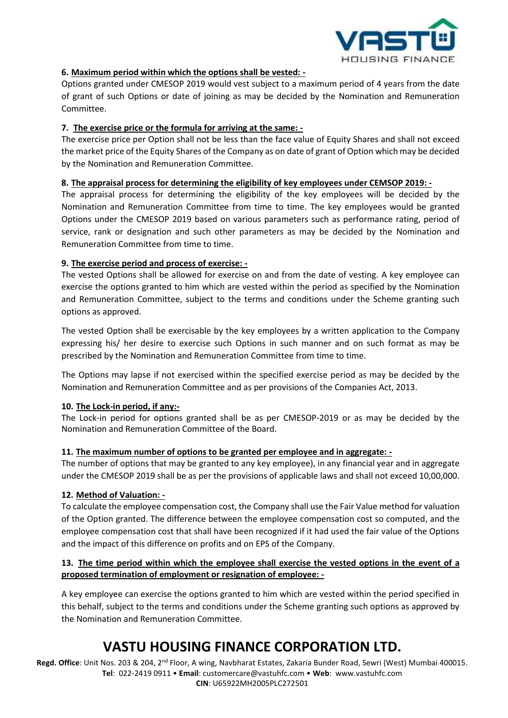

## **6. Maximum period within which the options shall be vested: -**

Options granted under CMESOP 2019 would vest subject to a maximum period of 4 years from the date of grant of such Options or date of joining as may be decided by the Nomination and Remuneration Committee.

### **7. The exercise price or the formula for arriving at the same: -**

The exercise price per Option shall not be less than the face value of Equity Shares and shall not exceed the market price of the Equity Shares of the Company as on date of grant of Option which may be decided by the Nomination and Remuneration Committee.

### **8. The appraisal process for determining the eligibility of key employees under CEMSOP 2019: -**

The appraisal process for determining the eligibility of the key employees will be decided by the Nomination and Remuneration Committee from time to time. The key employees would be granted Options under the CMESOP 2019 based on various parameters such as performance rating, period of service, rank or designation and such other parameters as may be decided by the Nomination and Remuneration Committee from time to time.

### **9. The exercise period and process of exercise: -**

The vested Options shall be allowed for exercise on and from the date of vesting. A key employee can exercise the options granted to him which are vested within the period as specified by the Nomination and Remuneration Committee, subject to the terms and conditions under the Scheme granting such options as approved.

The vested Option shall be exercisable by the key employees by a written application to the Company expressing his/ her desire to exercise such Options in such manner and on such format as may be prescribed by the Nomination and Remuneration Committee from time to time.

The Options may lapse if not exercised within the specified exercise period as may be decided by the Nomination and Remuneration Committee and as per provisions of the Companies Act, 2013.

## **10. The Lock-in period, if any:-**

The Lock-in period for options granted shall be as per CMESOP-2019 or as may be decided by the Nomination and Remuneration Committee of the Board.

#### **11. The maximum number of options to be granted per employee and in aggregate: -**

The number of options that may be granted to any key employee), in any financial year and in aggregate under the CMESOP 2019 shall be as per the provisions of applicable laws and shall not exceed 10,00,000.

## **12. Method of Valuation: -**

To calculate the employee compensation cost, the Company shall use the Fair Value method for valuation of the Option granted. The difference between the employee compensation cost so computed, and the employee compensation cost that shall have been recognized if it had used the fair value of the Options and the impact of this difference on profits and on EPS of the Company.

## **13. The time period within which the employee shall exercise the vested options in the event of a proposed termination of employment or resignation of employee: -**

A key employee can exercise the options granted to him which are vested within the period specified in this behalf, subject to the terms and conditions under the Scheme granting such options as approved by the Nomination and Remuneration Committee.

## **VASTU HOUSING FINANCE CORPORATION LTD.**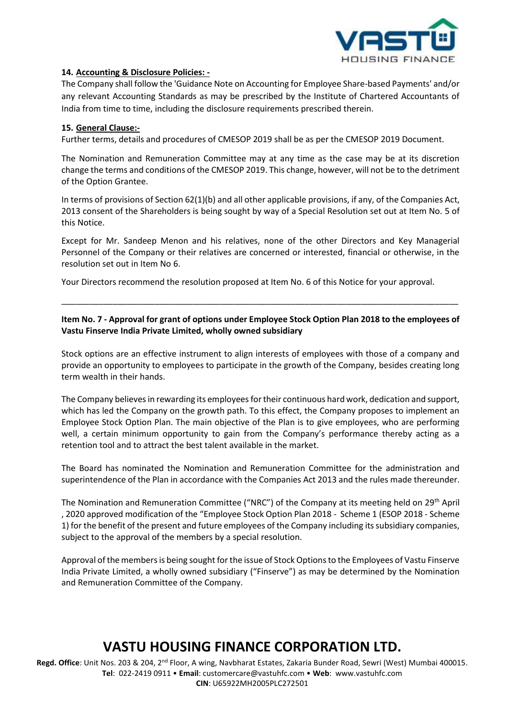

### **14. Accounting & Disclosure Policies: -**

The Company shall follow the 'Guidance Note on Accounting for Employee Share-based Payments' and/or any relevant Accounting Standards as may be prescribed by the Institute of Chartered Accountants of India from time to time, including the disclosure requirements prescribed therein.

### **15. General Clause:-**

Further terms, details and procedures of CMESOP 2019 shall be as per the CMESOP 2019 Document.

The Nomination and Remuneration Committee may at any time as the case may be at its discretion change the terms and conditions of the CMESOP 2019. This change, however, will not be to the detriment of the Option Grantee.

In terms of provisions of Section 62(1)(b) and all other applicable provisions, if any, of the Companies Act, 2013 consent of the Shareholders is being sought by way of a Special Resolution set out at Item No. 5 of this Notice.

Except for Mr. Sandeep Menon and his relatives, none of the other Directors and Key Managerial Personnel of the Company or their relatives are concerned or interested, financial or otherwise, in the resolution set out in Item No 6.

Your Directors recommend the resolution proposed at Item No. 6 of this Notice for your approval.

## **Item No. 7 - Approval for grant of options under Employee Stock Option Plan 2018 to the employees of Vastu Finserve India Private Limited, wholly owned subsidiary**

\_\_\_\_\_\_\_\_\_\_\_\_\_\_\_\_\_\_\_\_\_\_\_\_\_\_\_\_\_\_\_\_\_\_\_\_\_\_\_\_\_\_\_\_\_\_\_\_\_\_\_\_\_\_\_\_\_\_\_\_\_\_\_\_\_\_\_\_\_\_\_\_\_\_\_\_\_\_\_\_\_\_\_\_\_

Stock options are an effective instrument to align interests of employees with those of a company and provide an opportunity to employees to participate in the growth of the Company, besides creating long term wealth in their hands.

The Company believes in rewarding its employees for their continuous hard work, dedication and support, which has led the Company on the growth path. To this effect, the Company proposes to implement an Employee Stock Option Plan. The main objective of the Plan is to give employees, who are performing well, a certain minimum opportunity to gain from the Company's performance thereby acting as a retention tool and to attract the best talent available in the market.

The Board has nominated the Nomination and Remuneration Committee for the administration and superintendence of the Plan in accordance with the Companies Act 2013 and the rules made thereunder.

The Nomination and Remuneration Committee ("NRC") of the Company at its meeting held on 29<sup>th</sup> April , 2020 approved modification of the "Employee Stock Option Plan 2018 - Scheme 1 (ESOP 2018 - Scheme 1) for the benefit of the present and future employees of the Company including its subsidiary companies, subject to the approval of the members by a special resolution.

Approval of the members is being sought for the issue of Stock Options to the Employees of Vastu Finserve India Private Limited, a wholly owned subsidiary ("Finserve") as may be determined by the Nomination and Remuneration Committee of the Company.

## **VASTU HOUSING FINANCE CORPORATION LTD.**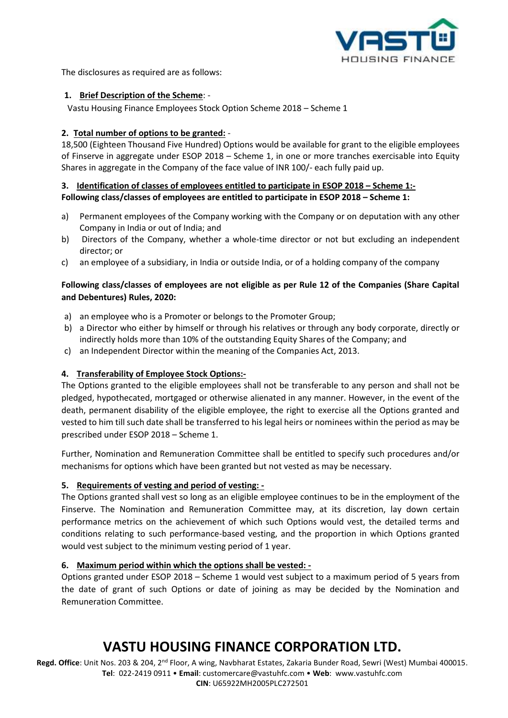

The disclosures as required are as follows:

## **1. Brief Description of the Scheme**: -

Vastu Housing Finance Employees Stock Option Scheme 2018 – Scheme 1

## **2. Total number of options to be granted:** -

18,500 (Eighteen Thousand Five Hundred) Options would be available for grant to the eligible employees of Finserve in aggregate under ESOP 2018 – Scheme 1, in one or more tranches exercisable into Equity Shares in aggregate in the Company of the face value of INR 100/- each fully paid up.

## **3. Identification of classes of employees entitled to participate in ESOP 2018 – Scheme 1:- Following class/classes of employees are entitled to participate in ESOP 2018 – Scheme 1:**

- a) Permanent employees of the Company working with the Company or on deputation with any other Company in India or out of India; and
- b) Directors of the Company, whether a whole-time director or not but excluding an independent director; or
- c) an employee of a subsidiary, in India or outside India, or of a holding company of the company

## **Following class/classes of employees are not eligible as per Rule 12 of the Companies (Share Capital and Debentures) Rules, 2020:**

- a) an employee who is a Promoter or belongs to the Promoter Group;
- b) a Director who either by himself or through his relatives or through any body corporate, directly or indirectly holds more than 10% of the outstanding Equity Shares of the Company; and
- c) an Independent Director within the meaning of the Companies Act, 2013.

## **4. Transferability of Employee Stock Options:-**

The Options granted to the eligible employees shall not be transferable to any person and shall not be pledged, hypothecated, mortgaged or otherwise alienated in any manner. However, in the event of the death, permanent disability of the eligible employee, the right to exercise all the Options granted and vested to him till such date shall be transferred to his legal heirs or nominees within the period as may be prescribed under ESOP 2018 – Scheme 1.

Further, Nomination and Remuneration Committee shall be entitled to specify such procedures and/or mechanisms for options which have been granted but not vested as may be necessary.

## **5. Requirements of vesting and period of vesting: -**

The Options granted shall vest so long as an eligible employee continues to be in the employment of the Finserve. The Nomination and Remuneration Committee may, at its discretion, lay down certain performance metrics on the achievement of which such Options would vest, the detailed terms and conditions relating to such performance-based vesting, and the proportion in which Options granted would vest subject to the minimum vesting period of 1 year.

#### **6. Maximum period within which the options shall be vested: -**

Options granted under ESOP 2018 – Scheme 1 would vest subject to a maximum period of 5 years from the date of grant of such Options or date of joining as may be decided by the Nomination and Remuneration Committee.

## **VASTU HOUSING FINANCE CORPORATION LTD.**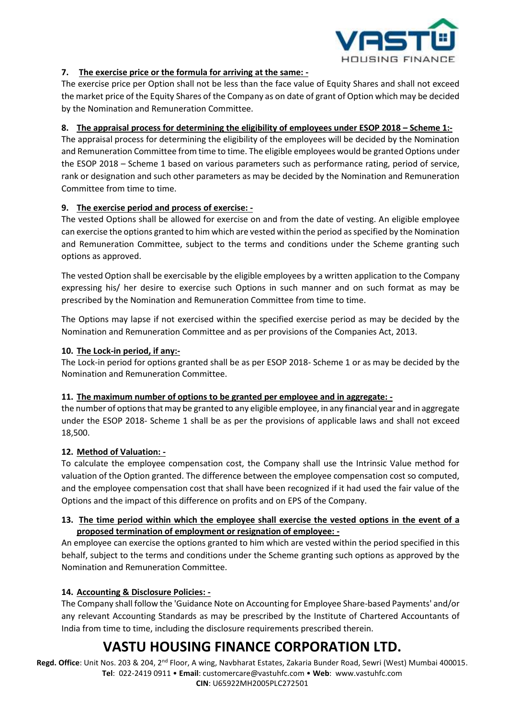

## **7. The exercise price or the formula for arriving at the same: -**

The exercise price per Option shall not be less than the face value of Equity Shares and shall not exceed the market price of the Equity Shares of the Company as on date of grant of Option which may be decided by the Nomination and Remuneration Committee.

## **8. The appraisal process for determining the eligibility of employees under ESOP 2018 – Scheme 1:-**

The appraisal process for determining the eligibility of the employees will be decided by the Nomination and Remuneration Committee from time to time. The eligible employees would be granted Options under the ESOP 2018 – Scheme 1 based on various parameters such as performance rating, period of service, rank or designation and such other parameters as may be decided by the Nomination and Remuneration Committee from time to time.

## **9. The exercise period and process of exercise: -**

The vested Options shall be allowed for exercise on and from the date of vesting. An eligible employee can exercise the options granted to him which are vested within the period as specified by the Nomination and Remuneration Committee, subject to the terms and conditions under the Scheme granting such options as approved.

The vested Option shall be exercisable by the eligible employees by a written application to the Company expressing his/ her desire to exercise such Options in such manner and on such format as may be prescribed by the Nomination and Remuneration Committee from time to time.

The Options may lapse if not exercised within the specified exercise period as may be decided by the Nomination and Remuneration Committee and as per provisions of the Companies Act, 2013.

### **10. The Lock-in period, if any:-**

The Lock-in period for options granted shall be as per ESOP 2018- Scheme 1 or as may be decided by the Nomination and Remuneration Committee.

#### **11. The maximum number of options to be granted per employee and in aggregate: -**

the number of options that may be granted to any eligible employee, in any financial year and in aggregate under the ESOP 2018- Scheme 1 shall be as per the provisions of applicable laws and shall not exceed 18,500.

#### **12. Method of Valuation: -**

To calculate the employee compensation cost, the Company shall use the Intrinsic Value method for valuation of the Option granted. The difference between the employee compensation cost so computed, and the employee compensation cost that shall have been recognized if it had used the fair value of the Options and the impact of this difference on profits and on EPS of the Company.

## **13. The time period within which the employee shall exercise the vested options in the event of a proposed termination of employment or resignation of employee: -**

An employee can exercise the options granted to him which are vested within the period specified in this behalf, subject to the terms and conditions under the Scheme granting such options as approved by the Nomination and Remuneration Committee.

## **14. Accounting & Disclosure Policies: -**

The Company shall follow the 'Guidance Note on Accounting for Employee Share-based Payments' and/or any relevant Accounting Standards as may be prescribed by the Institute of Chartered Accountants of India from time to time, including the disclosure requirements prescribed therein.

# **VASTU HOUSING FINANCE CORPORATION LTD.**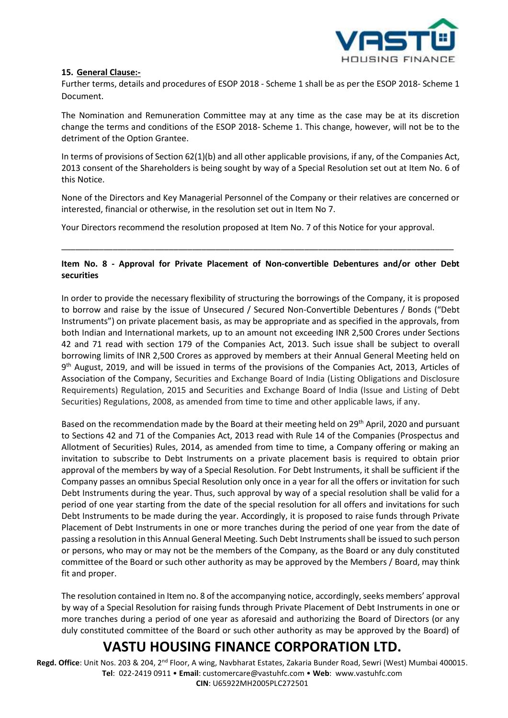

#### **15. General Clause:-**

Further terms, details and procedures of ESOP 2018 - Scheme 1 shall be as per the ESOP 2018- Scheme 1 Document.

The Nomination and Remuneration Committee may at any time as the case may be at its discretion change the terms and conditions of the ESOP 2018- Scheme 1. This change, however, will not be to the detriment of the Option Grantee.

In terms of provisions of Section 62(1)(b) and all other applicable provisions, if any, of the Companies Act, 2013 consent of the Shareholders is being sought by way of a Special Resolution set out at Item No. 6 of this Notice.

None of the Directors and Key Managerial Personnel of the Company or their relatives are concerned or interested, financial or otherwise, in the resolution set out in Item No 7.

Your Directors recommend the resolution proposed at Item No. 7 of this Notice for your approval.

### **Item No. 8 - Approval for Private Placement of Non-convertible Debentures and/or other Debt securities**

\_\_\_\_\_\_\_\_\_\_\_\_\_\_\_\_\_\_\_\_\_\_\_\_\_\_\_\_\_\_\_\_\_\_\_\_\_\_\_\_\_\_\_\_\_\_\_\_\_\_\_\_\_\_\_\_\_\_\_\_\_\_\_\_\_\_\_\_\_\_\_\_\_\_\_\_\_\_\_\_\_\_\_\_

In order to provide the necessary flexibility of structuring the borrowings of the Company, it is proposed to borrow and raise by the issue of Unsecured / Secured Non-Convertible Debentures / Bonds ("Debt Instruments") on private placement basis, as may be appropriate and as specified in the approvals, from both Indian and International markets, up to an amount not exceeding INR 2,500 Crores under Sections 42 and 71 read with section 179 of the Companies Act, 2013. Such issue shall be subject to overall borrowing limits of INR 2,500 Crores as approved by members at their Annual General Meeting held on 9<sup>th</sup> August, 2019, and will be issued in terms of the provisions of the Companies Act, 2013, Articles of Association of the Company, Securities and Exchange Board of India (Listing Obligations and Disclosure Requirements) Regulation, 2015 and Securities and Exchange Board of India (Issue and Listing of Debt Securities) Regulations, 2008, as amended from time to time and other applicable laws, if any.

Based on the recommendation made by the Board at their meeting held on 29<sup>th</sup> April, 2020 and pursuant to Sections 42 and 71 of the Companies Act, 2013 read with Rule 14 of the Companies (Prospectus and Allotment of Securities) Rules, 2014, as amended from time to time, a Company offering or making an invitation to subscribe to Debt Instruments on a private placement basis is required to obtain prior approval of the members by way of a Special Resolution. For Debt Instruments, it shall be sufficient if the Company passes an omnibus Special Resolution only once in a year for all the offers or invitation for such Debt Instruments during the year. Thus, such approval by way of a special resolution shall be valid for a period of one year starting from the date of the special resolution for all offers and invitations for such Debt Instruments to be made during the year. Accordingly, it is proposed to raise funds through Private Placement of Debt Instruments in one or more tranches during the period of one year from the date of passing a resolution in this Annual General Meeting. Such Debt Instruments shall be issued to such person or persons, who may or may not be the members of the Company, as the Board or any duly constituted committee of the Board or such other authority as may be approved by the Members / Board, may think fit and proper.

The resolution contained in Item no. 8 of the accompanying notice, accordingly, seeks members' approval by way of a Special Resolution for raising funds through Private Placement of Debt Instruments in one or more tranches during a period of one year as aforesaid and authorizing the Board of Directors (or any duly constituted committee of the Board or such other authority as may be approved by the Board) of

## **VASTU HOUSING FINANCE CORPORATION LTD.**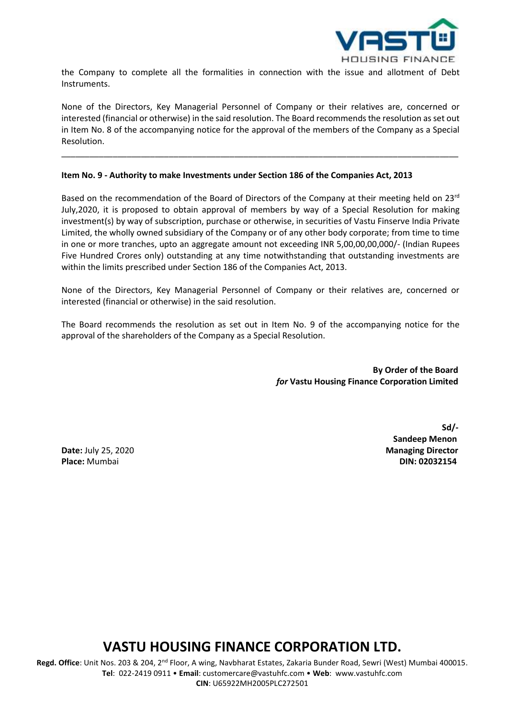

the Company to complete all the formalities in connection with the issue and allotment of Debt Instruments.

None of the Directors, Key Managerial Personnel of Company or their relatives are, concerned or interested (financial or otherwise) in the said resolution. The Board recommends the resolution as set out in Item No. 8 of the accompanying notice for the approval of the members of the Company as a Special Resolution.

\_\_\_\_\_\_\_\_\_\_\_\_\_\_\_\_\_\_\_\_\_\_\_\_\_\_\_\_\_\_\_\_\_\_\_\_\_\_\_\_\_\_\_\_\_\_\_\_\_\_\_\_\_\_\_\_\_\_\_\_\_\_\_\_\_\_\_\_\_\_\_\_\_\_\_\_\_\_\_\_\_\_\_\_\_

#### **Item No. 9 - Authority to make Investments under Section 186 of the Companies Act, 2013**

Based on the recommendation of the Board of Directors of the Company at their meeting held on 23<sup>rd</sup> July,2020, it is proposed to obtain approval of members by way of a Special Resolution for making investment(s) by way of subscription, purchase or otherwise, in securities of Vastu Finserve India Private Limited, the wholly owned subsidiary of the Company or of any other body corporate; from time to time in one or more tranches, upto an aggregate amount not exceeding INR 5,00,00,00,000/- (Indian Rupees Five Hundred Crores only) outstanding at any time notwithstanding that outstanding investments are within the limits prescribed under Section 186 of the Companies Act, 2013.

None of the Directors, Key Managerial Personnel of Company or their relatives are, concerned or interested (financial or otherwise) in the said resolution.

The Board recommends the resolution as set out in Item No. 9 of the accompanying notice for the approval of the shareholders of the Company as a Special Resolution.

> **By Order of the Board**  *for* **Vastu Housing Finance Corporation Limited**

**Place:** Mumbai **DIN: 02032154**

**Sd/- Sandeep Menon Date:** July 25, 2020

## **VASTU HOUSING FINANCE CORPORATION LTD.**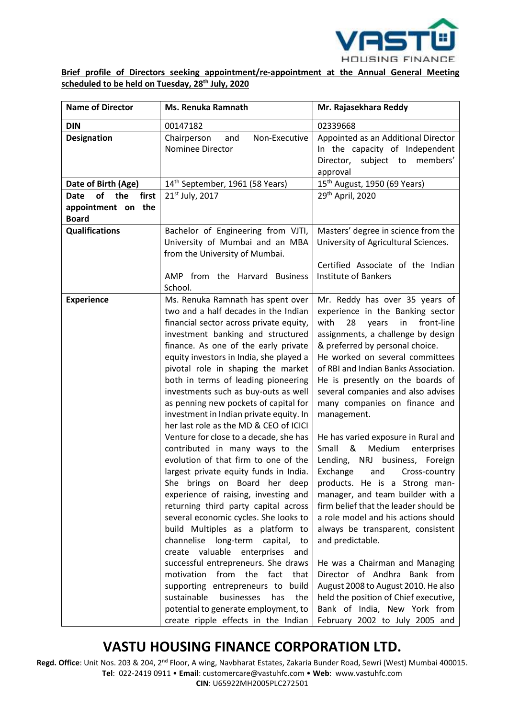

**Brief profile of Directors seeking appointment/re-appointment at the Annual General Meeting scheduled to be held on Tuesday, 28 th July, 2020**

| <b>Name of Director</b>            | <b>Ms. Renuka Ramnath</b>                                                                                                                                                                                                                                                                                                                                                                                                                                                                                                                                                                                                                                                                                                                                                                                                                                                                                                                                                                                                                                                                                                                                                                | Mr. Rajasekhara Reddy                                                                                                                                                                                                                                                                                                                                                                                                                                                                                                                                                                                                                                                                                                                                                                                                                                                                                                                                                                |
|------------------------------------|------------------------------------------------------------------------------------------------------------------------------------------------------------------------------------------------------------------------------------------------------------------------------------------------------------------------------------------------------------------------------------------------------------------------------------------------------------------------------------------------------------------------------------------------------------------------------------------------------------------------------------------------------------------------------------------------------------------------------------------------------------------------------------------------------------------------------------------------------------------------------------------------------------------------------------------------------------------------------------------------------------------------------------------------------------------------------------------------------------------------------------------------------------------------------------------|--------------------------------------------------------------------------------------------------------------------------------------------------------------------------------------------------------------------------------------------------------------------------------------------------------------------------------------------------------------------------------------------------------------------------------------------------------------------------------------------------------------------------------------------------------------------------------------------------------------------------------------------------------------------------------------------------------------------------------------------------------------------------------------------------------------------------------------------------------------------------------------------------------------------------------------------------------------------------------------|
| <b>DIN</b>                         | 00147182                                                                                                                                                                                                                                                                                                                                                                                                                                                                                                                                                                                                                                                                                                                                                                                                                                                                                                                                                                                                                                                                                                                                                                                 | 02339668                                                                                                                                                                                                                                                                                                                                                                                                                                                                                                                                                                                                                                                                                                                                                                                                                                                                                                                                                                             |
| <b>Designation</b>                 | Chairperson<br>and<br>Non-Executive<br>Nominee Director                                                                                                                                                                                                                                                                                                                                                                                                                                                                                                                                                                                                                                                                                                                                                                                                                                                                                                                                                                                                                                                                                                                                  | Appointed as an Additional Director<br>In the capacity of Independent<br>Director, subject to members'<br>approval                                                                                                                                                                                                                                                                                                                                                                                                                                                                                                                                                                                                                                                                                                                                                                                                                                                                   |
| Date of Birth (Age)                | 14 <sup>th</sup> September, 1961 (58 Years)                                                                                                                                                                                                                                                                                                                                                                                                                                                                                                                                                                                                                                                                                                                                                                                                                                                                                                                                                                                                                                                                                                                                              | 15 <sup>th</sup> August, 1950 (69 Years)                                                                                                                                                                                                                                                                                                                                                                                                                                                                                                                                                                                                                                                                                                                                                                                                                                                                                                                                             |
| <b>of</b><br>the<br>Date<br>first  | 21 <sup>st</sup> July, 2017                                                                                                                                                                                                                                                                                                                                                                                                                                                                                                                                                                                                                                                                                                                                                                                                                                                                                                                                                                                                                                                                                                                                                              | 29 <sup>th</sup> April, 2020                                                                                                                                                                                                                                                                                                                                                                                                                                                                                                                                                                                                                                                                                                                                                                                                                                                                                                                                                         |
| appointment on the<br><b>Board</b> |                                                                                                                                                                                                                                                                                                                                                                                                                                                                                                                                                                                                                                                                                                                                                                                                                                                                                                                                                                                                                                                                                                                                                                                          |                                                                                                                                                                                                                                                                                                                                                                                                                                                                                                                                                                                                                                                                                                                                                                                                                                                                                                                                                                                      |
| <b>Qualifications</b>              | Bachelor of Engineering from VJTI,<br>University of Mumbai and an MBA<br>from the University of Mumbai.                                                                                                                                                                                                                                                                                                                                                                                                                                                                                                                                                                                                                                                                                                                                                                                                                                                                                                                                                                                                                                                                                  | Masters' degree in science from the<br>University of Agricultural Sciences.                                                                                                                                                                                                                                                                                                                                                                                                                                                                                                                                                                                                                                                                                                                                                                                                                                                                                                          |
|                                    | AMP from the Harvard Business<br>School.                                                                                                                                                                                                                                                                                                                                                                                                                                                                                                                                                                                                                                                                                                                                                                                                                                                                                                                                                                                                                                                                                                                                                 | Certified Associate of the Indian<br><b>Institute of Bankers</b>                                                                                                                                                                                                                                                                                                                                                                                                                                                                                                                                                                                                                                                                                                                                                                                                                                                                                                                     |
| <b>Experience</b>                  | Ms. Renuka Ramnath has spent over<br>two and a half decades in the Indian<br>financial sector across private equity,<br>investment banking and structured<br>finance. As one of the early private<br>equity investors in India, she played a<br>pivotal role in shaping the market<br>both in terms of leading pioneering<br>investments such as buy-outs as well<br>as penning new pockets of capital for<br>investment in Indian private equity. In<br>her last role as the MD & CEO of ICICI<br>Venture for close to a decade, she has<br>contributed in many ways to the<br>evolution of that firm to one of the<br>largest private equity funds in India.<br>She brings on Board her deep<br>experience of raising, investing and<br>returning third party capital across<br>several economic cycles. She looks to<br>build Multiples as a platform to<br>channelise<br>long-term<br>capital,<br>to<br>create valuable enterprises<br>and<br>successful entrepreneurs. She draws<br>motivation from the<br>fact that<br>supporting entrepreneurs to build<br>sustainable<br>businesses<br>has<br>the<br>potential to generate employment, to<br>create ripple effects in the Indian | Mr. Reddy has over 35 years of<br>experience in the Banking sector<br>with<br>28<br>in<br>front-line<br>years<br>assignments, a challenge by design<br>& preferred by personal choice.<br>He worked on several committees<br>of RBI and Indian Banks Association.<br>He is presently on the boards of<br>several companies and also advises<br>many companies on finance and<br>management.<br>He has varied exposure in Rural and<br>Medium<br>Small<br>&<br>enterprises<br>NRJ business, Foreign<br>Lending,<br>Exchange<br>Cross-country<br>and<br>products. He is a Strong man-<br>manager, and team builder with a<br>firm belief that the leader should be<br>a role model and his actions should<br>always be transparent, consistent<br>and predictable.<br>He was a Chairman and Managing<br>Director of Andhra Bank from<br>August 2008 to August 2010. He also<br>held the position of Chief executive,<br>Bank of India, New York from<br>February 2002 to July 2005 and |

## **VASTU HOUSING FINANCE CORPORATION LTD.**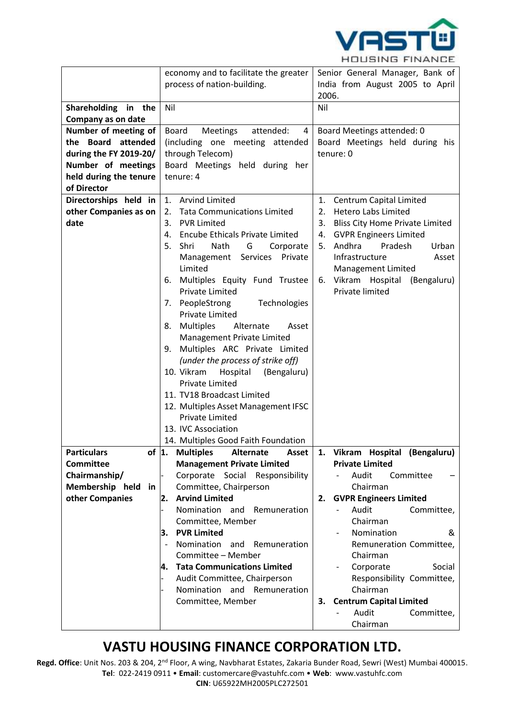

|                                           | economy and to facilitate the greater                         | Senior General Manager, Bank of                              |
|-------------------------------------------|---------------------------------------------------------------|--------------------------------------------------------------|
|                                           | process of nation-building.                                   | India from August 2005 to April                              |
|                                           | Nil                                                           | 2006.<br>Nil                                                 |
| Shareholding in the<br>Company as on date |                                                               |                                                              |
| Number of meeting of                      | attended:                                                     |                                                              |
| the Board attended                        | Board<br>Meetings<br>4<br>(including one meeting attended     | Board Meetings attended: 0<br>Board Meetings held during his |
| during the FY 2019-20/                    | through Telecom)                                              | tenure: 0                                                    |
| Number of meetings                        | Board Meetings held during her                                |                                                              |
| held during the tenure                    | tenure: 4                                                     |                                                              |
| of Director                               |                                                               |                                                              |
| Directorships held in                     | <b>Arvind Limited</b><br>1.                                   | Centrum Capital Limited<br>1.                                |
| other Companies as on                     | <b>Tata Communications Limited</b><br>2.                      | <b>Hetero Labs Limited</b><br>2.                             |
| date                                      | <b>PVR Limited</b><br>3.                                      | 3.<br><b>Bliss City Home Private Limited</b>                 |
|                                           | <b>Encube Ethicals Private Limited</b><br>4.                  | <b>GVPR Engineers Limited</b><br>4.                          |
|                                           | 5.<br>Shri<br>Nath<br>G<br>Corporate                          | Andhra<br>Pradesh<br>Urban<br>5.                             |
|                                           | Private<br>Management Services                                | Infrastructure<br>Asset                                      |
|                                           | Limited                                                       | Management Limited                                           |
|                                           | Multiples Equity Fund Trustee<br>6.<br><b>Private Limited</b> | Vikram Hospital (Bengaluru)<br>6.<br>Private limited         |
|                                           | 7. PeopleStrong<br>Technologies                               |                                                              |
|                                           | <b>Private Limited</b>                                        |                                                              |
|                                           | <b>Multiples</b><br>Alternate<br>Asset<br>8.                  |                                                              |
|                                           | Management Private Limited                                    |                                                              |
|                                           | 9. Multiples ARC Private Limited                              |                                                              |
|                                           | (under the process of strike off)                             |                                                              |
|                                           | 10. Vikram<br>Hospital<br>(Bengaluru)                         |                                                              |
|                                           | <b>Private Limited</b>                                        |                                                              |
|                                           | 11. TV18 Broadcast Limited                                    |                                                              |
|                                           | 12. Multiples Asset Management IFSC                           |                                                              |
|                                           | <b>Private Limited</b>                                        |                                                              |
|                                           | 13. IVC Association                                           |                                                              |
|                                           | 14. Multiples Good Faith Foundation                           |                                                              |
| of $ 1.$<br><b>Particulars</b>            | <b>Multiples</b><br>Alternate<br>Asset                        | Vikram Hospital (Bengaluru)<br>1.                            |
| <b>Committee</b>                          | <b>Management Private Limited</b>                             | <b>Private Limited</b>                                       |
| Chairmanship/                             | Corporate Social Responsibility                               | Committee<br>Audit                                           |
| Membership held in<br>other Companies     | Committee, Chairperson<br><b>Arvind Limited</b><br>2.         | Chairman<br><b>GVPR Engineers Limited</b><br>2.              |
|                                           | Nomination and Remuneration                                   | Audit<br>Committee,                                          |
|                                           | Committee, Member                                             | Chairman                                                     |
|                                           | <b>PVR Limited</b><br>З.                                      | Nomination<br>&                                              |
|                                           | Nomination<br>and<br>Remuneration                             | Remuneration Committee,                                      |
|                                           | Committee - Member                                            | Chairman                                                     |
|                                           | <b>Tata Communications Limited</b><br>4.                      | Corporate<br>Social                                          |
|                                           | Audit Committee, Chairperson                                  | Responsibility Committee,                                    |
|                                           | Nomination and Remuneration                                   | Chairman                                                     |
|                                           | Committee, Member                                             | <b>Centrum Capital Limited</b><br>3.                         |
|                                           |                                                               | Audit<br>Committee,                                          |
|                                           |                                                               | Chairman                                                     |

## **VASTU HOUSING FINANCE CORPORATION LTD.**